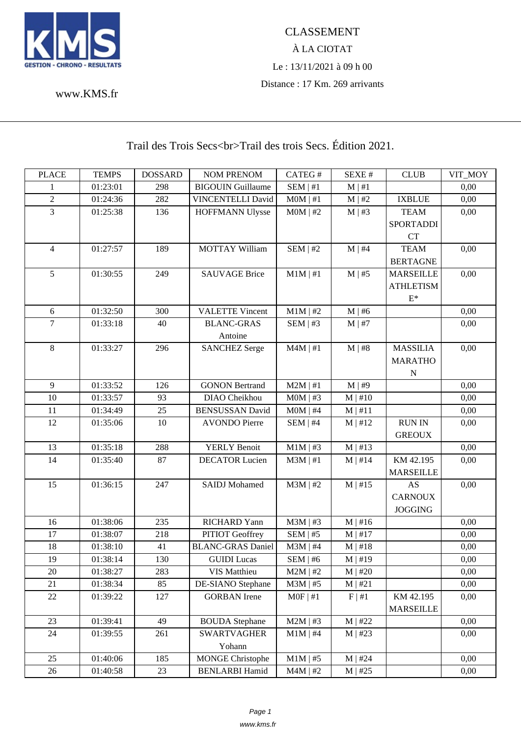

## À LA CIOTAT Le : 13/11/2021 à 09 h 00 Distance : 17 Km. 269 arrivants

www.KMS.fr

## Trail des Trois Secs<br>Trail des trois Secs. Édition 2021.

| <b>PLACE</b>   | <b>TEMPS</b> | <b>DOSSARD</b> | <b>NOM PRENOM</b>        | CATEG#        | SEXE#        | <b>CLUB</b>      | VIT_MOY |
|----------------|--------------|----------------|--------------------------|---------------|--------------|------------------|---------|
| 1              | 01:23:01     | 298            | <b>BIGOUIN Guillaume</b> | SEM   #1      | $M \mid #1$  |                  | 0,00    |
| $\overline{2}$ | 01:24:36     | 282            | VINCENTELLI David        | $MOM$   #1    | M   #2       | <b>IXBLUE</b>    | 0,00    |
| $\overline{3}$ | 01:25:38     | 136            | <b>HOFFMANN Ulysse</b>   | $MOM$   #2    | $M \mid #3$  | <b>TEAM</b>      | 0,00    |
|                |              |                |                          |               |              | <b>SPORTADDI</b> |         |
|                |              |                |                          |               |              | <b>CT</b>        |         |
| $\overline{4}$ | 01:27:57     | 189            | <b>MOTTAY William</b>    | SEM   #2      | $M \mid #4$  | <b>TEAM</b>      | 0,00    |
|                |              |                |                          |               |              | <b>BERTAGNE</b>  |         |
| 5              | 01:30:55     | 249            | <b>SAUVAGE Brice</b>     | $M1M \mid #1$ | $M \mid #5$  | <b>MARSEILLE</b> | 0,00    |
|                |              |                |                          |               |              | <b>ATHLETISM</b> |         |
|                |              |                |                          |               |              | $E^*$            |         |
| $6\,$          | 01:32:50     | 300            | <b>VALETTE Vincent</b>   | $M1M$   #2    | $M \mid #6$  |                  | 0,00    |
| 7              | 01:33:18     | 40             | <b>BLANC-GRAS</b>        | SEM   #3      | $M \mid #7$  |                  | 0,00    |
|                |              |                | Antoine                  |               |              |                  |         |
| $\,8\,$        | 01:33:27     | 296            | <b>SANCHEZ Serge</b>     | $M4M$   #1    | M   #8       | <b>MASSILIA</b>  | 0,00    |
|                |              |                |                          |               |              | <b>MARATHO</b>   |         |
|                |              |                |                          |               |              | N                |         |
| $\overline{9}$ | 01:33:52     | 126            | <b>GONON Bertrand</b>    | $M2M$   #1    | M   #9       |                  | 0,00    |
| 10             | 01:33:57     | 93             | DIAO Cheikhou            | $MOM$   #3    | $M \mid #10$ |                  | 0,00    |
| 11             | 01:34:49     | 25             | <b>BENSUSSAN David</b>   | $MOM$   #4    | M   #11      |                  | 0,00    |
| 12             | 01:35:06     | 10             | <b>AVONDO Pierre</b>     | $SEM$   #4    | M   #12      | <b>RUN IN</b>    | 0,00    |
|                |              |                |                          |               |              | <b>GREOUX</b>    |         |
| 13             | 01:35:18     | 288            | <b>YERLY Benoit</b>      | $M1M$   #3    | $M \mid #13$ |                  | 0,00    |
| 14             | 01:35:40     | 87             | <b>DECATOR Lucien</b>    | $M3M$   #1    | $M \mid #14$ | KM 42.195        | 0,00    |
|                |              |                |                          |               |              | <b>MARSEILLE</b> |         |
| 15             | 01:36:15     | 247            | <b>SAIDJ</b> Mohamed     | $M3M$   #2    | $M \mid #15$ | AS               | 0,00    |
|                |              |                |                          |               |              | <b>CARNOUX</b>   |         |
|                |              |                |                          |               |              | <b>JOGGING</b>   |         |
| 16             | 01:38:06     | 235            | <b>RICHARD Yann</b>      | $M3M$   #3    | $M \mid #16$ |                  | 0,00    |
| 17             | 01:38:07     | 218            | PITIOT Geoffrey          | $SEM$   #5    | $M$   #17    |                  | 0,00    |
| 18             | 01:38:10     | 41             | <b>BLANC-GRAS Daniel</b> | $M3M$   #4    | $M$   #18    |                  | 0,00    |
| 19             | 01:38:14     | 130            | <b>GUIDI</b> Lucas       | SEM   #6      | $M \mid #19$ |                  | 0,00    |
| 20             | 01:38:27     | 283            | VIS Matthieu             | $M2M$   #2    | M   #20      |                  | 0,00    |
| 21             | 01:38:34     | 85             | DE-SIANO Stephane        | $M3M$   #5    | M   #21      |                  | 0,00    |
| 22             | 01:39:22     | 127            | <b>GORBAN</b> Irene      | $MOF \mid #1$ | F   #1       | KM 42.195        | 0,00    |
|                |              |                |                          |               |              | <b>MARSEILLE</b> |         |
| 23             | 01:39:41     | 49             | <b>BOUDA Stephane</b>    | $M2M$   #3    | $M$   #22    |                  | 0,00    |
| 24             | 01:39:55     | 261            | <b>SWARTVAGHER</b>       | $M1M$   #4    | $M$   #23    |                  | 0,00    |
|                |              |                | Yohann                   |               |              |                  |         |
| 25             | 01:40:06     | 185            | <b>MONGE Christophe</b>  | $M1M$   #5    | $M$   #24    |                  | 0,00    |
| 26             | 01:40:58     | 23             | <b>BENLARBI Hamid</b>    | $M4M$   #2    | $M \mid #25$ |                  | 0,00    |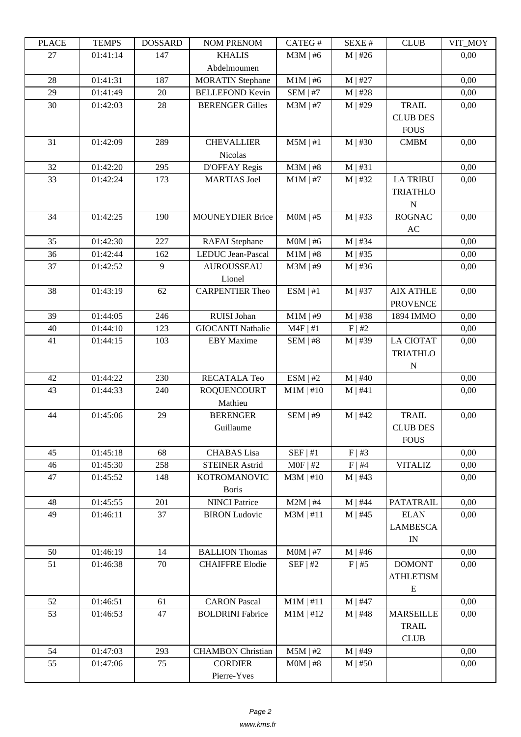| LLAUD | <u>ר דוגודו</u> | <b>UUUUUUU</b> | <b>INUMI I INEINUMI</b>  | CATLO 11    | DL/AL π      | CLUD                     | TUNL_ITY |
|-------|-----------------|----------------|--------------------------|-------------|--------------|--------------------------|----------|
| 27    | 01:41:14        | 147            | <b>KHALIS</b>            | $M3M$   #6  | $M$   #26    |                          | 0,00     |
|       |                 |                | Abdelmoumen              |             |              |                          |          |
| 28    | 01:41:31        | 187            | <b>MORATIN Stephane</b>  | $M1M$   #6  | $M$   #27    |                          | 0,00     |
| 29    | 01:41:49        | $20\,$         | <b>BELLEFOND Kevin</b>   | $SEM$   #7  | $M$   #28    |                          | 0,00     |
| 30    | 01:42:03        | 28             | <b>BERENGER Gilles</b>   | $M3M$   #7  | $M$   #29    | <b>TRAIL</b>             | 0,00     |
|       |                 |                |                          |             |              | <b>CLUB DES</b>          |          |
|       |                 |                |                          |             |              | <b>FOUS</b>              |          |
|       |                 |                |                          |             |              | <b>CMBM</b>              |          |
| 31    | 01:42:09        | 289            | <b>CHEVALLIER</b>        | $M5M$   #1  | $M$   #30    |                          | 0,00     |
|       |                 |                | <b>Nicolas</b>           |             |              |                          |          |
| 32    | 01:42:20        | 295            | <b>D'OFFAY Regis</b>     | $M3M$   #8  | M   #31      |                          | 0,00     |
| 33    | 01:42:24        | 173            | <b>MARTIAS</b> Joel      | $M1M$   #7  | $M$   #32    | <b>LA TRIBU</b>          | 0,00     |
|       |                 |                |                          |             |              | <b>TRIATHLO</b>          |          |
|       |                 |                |                          |             |              | N                        |          |
| 34    | 01:42:25        | 190            | <b>MOUNEYDIER Brice</b>  | $MOM$   #5  | $M$   #33    | <b>ROGNAC</b>            | 0,00     |
|       |                 |                |                          |             |              | $\mathbf{A}\mathbf{C}$   |          |
| 35    | 01:42:30        | 227            | <b>RAFAI</b> Stephane    | $MOM$   #6  | $M$   #34    |                          | 0,00     |
| 36    | 01:42:44        | 162            | LEDUC Jean-Pascal        | $M1M$   #8  | $M$   #35    |                          | 0,00     |
| 37    | 01:42:52        | 9              | <b>AUROUSSEAU</b>        | $M3M$   #9  | $M$   #36    |                          | 0,00     |
|       |                 |                | Lionel                   |             |              |                          |          |
| 38    | 01:43:19        | 62             | <b>CARPENTIER Theo</b>   | ESM   #1    | $M$   #37    | <b>AIX ATHLE</b>         | 0,00     |
|       |                 |                |                          |             |              | <b>PROVENCE</b>          |          |
| 39    | 01:44:05        | 246            | RUISI Johan              | $M1M$   #9  | $M$   #38    | 1894 IMMO                | 0,00     |
|       |                 |                |                          |             |              |                          |          |
| 40    | 01:44:10        | 123            | <b>GIOCANTI Nathalie</b> | $M4F$   #1  | F   #2       |                          | 0,00     |
| 41    | 01:44:15        | 103            | <b>EBY</b> Maxime        | $SEM$   #8  | $M$   #39    | <b>LA CIOTAT</b>         | 0,00     |
|       |                 |                |                          |             |              | <b>TRIATHLO</b>          |          |
|       |                 |                |                          |             |              | $\mathbf N$              |          |
| 42    | 01:44:22        | 230            | RECATALA Teo             | ESM   #2    | $M$   #40    |                          | 0,00     |
| 43    | 01:44:33        | 240            | <b>ROQUENCOURT</b>       | $M1M$   #10 | M   #41      |                          | 0,00     |
|       |                 |                | Mathieu                  |             |              |                          |          |
| 44    | 01:45:06        | 29             | <b>BERENGER</b>          | SEM   #9    | $M$   #42    | <b>TRAIL</b>             | 0,00     |
|       |                 |                | Guillaume                |             |              | <b>CLUB DES</b>          |          |
|       |                 |                |                          |             |              | <b>FOUS</b>              |          |
| 45    | 01:45:18        | 68             | <b>CHABAS</b> Lisa       | SEF   #1    | F   #3       |                          | 0,00     |
| 46    | 01:45:30        | 258            | <b>STEINER Astrid</b>    | $MOF$   #2  | F   #4       | <b>VITALIZ</b>           | 0,00     |
| 47    | 01:45:52        | 148            | <b>KOTROMANOVIC</b>      | $M3M$   #10 | $M$   #43    |                          | 0,00     |
|       |                 |                | <b>Boris</b>             |             |              |                          |          |
| 48    | 01:45:55        | 201            | <b>NINCI Patrice</b>     | $M2M$   #4  | $M$   #44    | <b>PATATRAIL</b>         | 0,00     |
| 49    | 01:46:11        | 37             | <b>BIRON Ludovic</b>     | $M3M$   #11 | $M$   #45    | <b>ELAN</b>              | 0,00     |
|       |                 |                |                          |             |              |                          |          |
|       |                 |                |                          |             |              | <b>LAMBESCA</b>          |          |
|       |                 |                |                          |             |              | $\ensuremath{\text{IN}}$ |          |
| 50    | 01:46:19        | 14             | <b>BALLION Thomas</b>    | $MOM$   #7  | $M$   #46    |                          | 0,00     |
| 51    | 01:46:38        | 70             | <b>CHAIFFRE Elodie</b>   | SEF   #2    | $F \mid #5$  | <b>DOMONT</b>            | 0,00     |
|       |                 |                |                          |             |              | <b>ATHLETISM</b>         |          |
|       |                 |                |                          |             |              | E                        |          |
| 52    | 01:46:51        | 61             | <b>CARON</b> Pascal      | $M1M$   #11 | $M$   #47    |                          | 0,00     |
| 53    | 01:46:53        | 47             | <b>BOLDRINI</b> Fabrice  | $M1M$   #12 | $M$   #48    | <b>MARSEILLE</b>         | 0,00     |
|       |                 |                |                          |             |              | <b>TRAIL</b>             |          |
|       |                 |                |                          |             |              | <b>CLUB</b>              |          |
| 54    | 01:47:03        | 293            | <b>CHAMBON Christian</b> | $M5M$   #2  | $M$   #49    |                          | 0,00     |
| 55    | 01:47:06        | 75             | <b>CORDIER</b>           | $MOM$   #8  | $M \mid #50$ |                          | 0,00     |
|       |                 |                | Pierre-Yves              |             |              |                          |          |
|       |                 |                |                          |             |              |                          |          |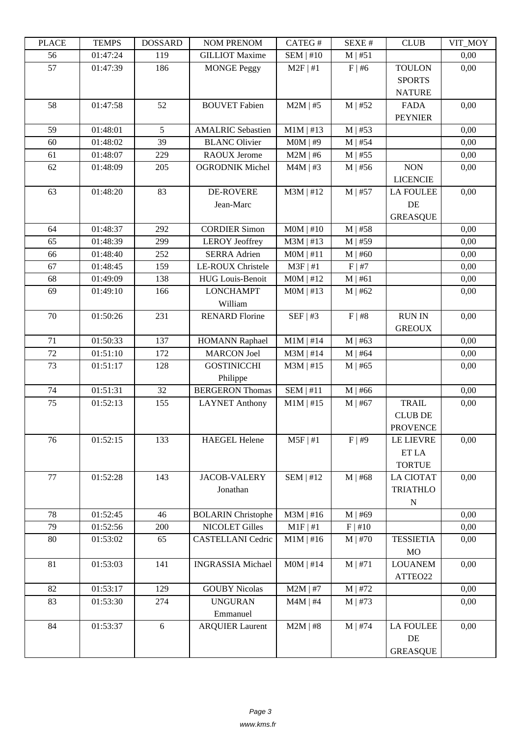| LLAUD | L LIVIII IJ | <b>UUUUUUU</b> | <b>INUMER INLANUM</b>     | <b>CATLOT</b> | יד ברגבוט    | CLUD             | YII_MUI |
|-------|-------------|----------------|---------------------------|---------------|--------------|------------------|---------|
| 56    | 01:47:24    | 119            | <b>GILLIOT</b> Maxime     | $SEM$   #10   | $M$   #51    |                  | 0,00    |
| 57    | 01:47:39    | 186            | <b>MONGE Peggy</b>        | $M2F$   #1    | $F \mid #6$  | <b>TOULON</b>    | 0,00    |
|       |             |                |                           |               |              | <b>SPORTS</b>    |         |
|       |             |                |                           |               |              | <b>NATURE</b>    |         |
| 58    | 01:47:58    | 52             | <b>BOUVET</b> Fabien      | $M2M$   #5    | $M$   #52    | <b>FADA</b>      | 0,00    |
|       |             |                |                           |               |              | <b>PEYNIER</b>   |         |
| 59    | 01:48:01    | 5              | <b>AMALRIC Sebastien</b>  | $M1M$   #13   | $M$   #53    |                  | 0,00    |
| 60    | 01:48:02    | 39             | <b>BLANC Olivier</b>      | $M0M$   #9    | $M$   #54    |                  | 0,00    |
| 61    | 01:48:07    | 229            | <b>RAOUX Jerome</b>       | $M2M$   #6    | $M$   #55    |                  | 0,00    |
| 62    | 01:48:09    | 205            | <b>OGRODNIK Michel</b>    | $M4M$   #3    | $M$   #56    | <b>NON</b>       | 0,00    |
|       |             |                |                           |               |              | <b>LICENCIE</b>  |         |
| 63    | 01:48:20    | 83             | <b>DE-ROVERE</b>          | $M3M$   #12   | $M$   #57    | <b>LA FOULEE</b> | 0,00    |
|       |             |                | Jean-Marc                 |               |              | DE               |         |
|       |             |                |                           |               |              | <b>GREASQUE</b>  |         |
| 64    | 01:48:37    | 292            | <b>CORDIER Simon</b>      | $MOM$   #10   | $M$   #58    |                  | 0,00    |
| 65    | 01:48:39    | 299            | <b>LEROY</b> Jeoffrey     | $M3M$   #13   | $M$   #59    |                  | 0,00    |
| 66    | 01:48:40    | 252            | <b>SERRA Adrien</b>       | MOM   #11     | $M$   #60    |                  | 0,00    |
| 67    | 01:48:45    | 159            | LE-ROUX Christele         | $M3F$   #1    | F   #7       |                  | 0,00    |
| 68    | 01:49:09    | 138            | <b>HUG</b> Louis-Benoit   | $MOM$   #12   | M   #61      |                  | 0,00    |
| 69    | 01:49:10    | 166            | <b>LONCHAMPT</b>          | $MOM$   #13   | $M$   #62    |                  | 0,00    |
|       |             |                | William                   |               |              |                  |         |
| 70    | 01:50:26    | 231            | <b>RENARD Florine</b>     | SEF   #3      | F   #8       | <b>RUN IN</b>    | 0,00    |
|       |             |                |                           |               |              | <b>GREOUX</b>    |         |
| 71    | 01:50:33    | 137            | <b>HOMANN Raphael</b>     | $M1M$   #14   | $M$   #63    |                  | 0,00    |
| 72    | 01:51:10    | 172            | <b>MARCON</b> Joel        | $M3M$   #14   | $M$   #64    |                  | 0,00    |
| 73    | 01:51:17    | 128            | <b>GOSTINICCHI</b>        | $M3M$   #15   | $M$   #65    |                  | 0,00    |
|       |             |                | Philippe                  |               |              |                  |         |
| 74    | 01:51:31    | 32             | <b>BERGERON Thomas</b>    | SEM   #11     | $M$   #66    |                  | 0,00    |
| 75    | 01:52:13    | 155            | <b>LAYNET Anthony</b>     | $M1M$   #15   | $M$   #67    | <b>TRAIL</b>     | 0,00    |
|       |             |                |                           |               |              | <b>CLUB DE</b>   |         |
|       |             |                |                           |               |              | <b>PROVENCE</b>  |         |
| 76    | 01:52:15    | 133            | <b>HAEGEL Helene</b>      | $M5F$   #1    | F   #9       | <b>LE LIEVRE</b> | 0,00    |
|       |             |                |                           |               |              | ET LA            |         |
|       |             |                |                           |               |              | <b>TORTUE</b>    |         |
| 77    | 01:52:28    | 143            | <b>JACOB-VALERY</b>       | $SEM$   #12   | $M$   #68    | <b>LA CIOTAT</b> | 0,00    |
|       |             |                | Jonathan                  |               |              | <b>TRIATHLO</b>  |         |
|       |             |                |                           |               |              | $\mathbf N$      |         |
| 78    | 01:52:45    | 46             | <b>BOLARIN Christophe</b> | $M3M$   #16   | $M$   #69    |                  | 0,00    |
| 79    | 01:52:56    | 200            | <b>NICOLET Gilles</b>     | M1F   #1      | F   #10      |                  | 0,00    |
| 80    | 01:53:02    | 65             | <b>CASTELLANI</b> Cedric  | $M1M$   #16   | $M$   #70    | <b>TESSIETIA</b> | 0,00    |
|       |             |                |                           |               |              | MO               |         |
| 81    | 01:53:03    | 141            | <b>INGRASSIA</b> Michael  | $MOM$   #14   | M   #71      | <b>LOUANEM</b>   | 0,00    |
|       |             |                |                           |               |              | ATTEO22          |         |
| 82    | 01:53:17    | 129            | <b>GOUBY Nicolas</b>      | $M2M$   #7    | $M$   #72    |                  | 0,00    |
| 83    | 01:53:30    | 274            | <b>UNGURAN</b>            | $M4M$   #4    | $M$   #73    |                  | 0,00    |
|       |             |                | Emmanuel                  |               |              |                  |         |
| 84    | 01:53:37    | 6              | <b>ARQUIER Laurent</b>    | $M2M$   #8    | $M \mid #74$ | <b>LA FOULEE</b> | 0,00    |
|       |             |                |                           |               |              | DE               |         |
|       |             |                |                           |               |              | <b>GREASQUE</b>  |         |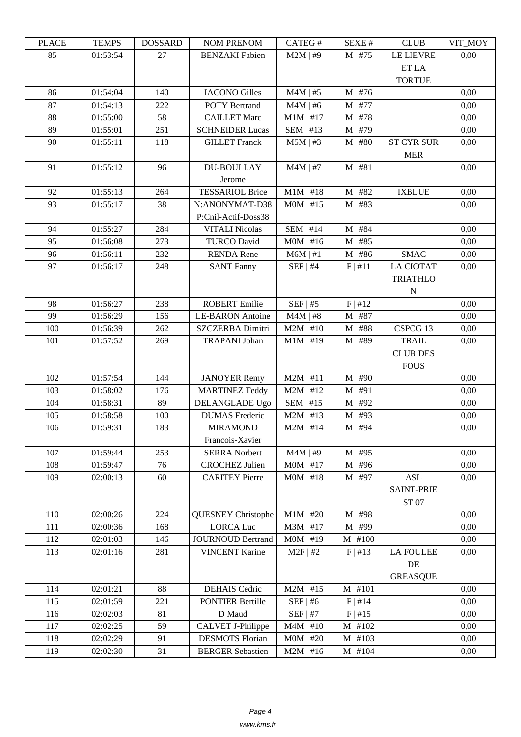| LLAUD | <u>ר דוגודו</u> | <b>UUUUUUU</b> | KUWU U WAKUWI             | CATLO T     | DL/AL π       | CLUD              | VII_MUI |
|-------|-----------------|----------------|---------------------------|-------------|---------------|-------------------|---------|
| 85    | 01:53:54        | 27             | <b>BENZAKI</b> Fabien     | $M2M$   #9  | $M$   #75     | <b>LE LIEVRE</b>  | 0,00    |
|       |                 |                |                           |             |               | ET LA             |         |
|       |                 |                |                           |             |               | <b>TORTUE</b>     |         |
| 86    | 01:54:04        | 140            | <b>IACONO</b> Gilles      | $M4M$   #5  | $M$   #76     |                   | 0,00    |
| 87    | 01:54:13        | 222            | <b>POTY Bertrand</b>      | $M4M$   #6  | M   #77       |                   | 0,00    |
| 88    | 01:55:00        | 58             | <b>CAILLET Marc</b>       | $M1M$   #17 | $M$   #78     |                   | 0,00    |
| 89    | 01:55:01        | 251            | <b>SCHNEIDER Lucas</b>    | SEM   #13   | M   #79       |                   | 0,00    |
| 90    | 01:55:11        | 118            | <b>GILLET</b> Franck      | $M5M$   #3  | $M$   #80     | <b>ST CYR SUR</b> | 0,00    |
|       |                 |                |                           |             |               | <b>MER</b>        |         |
| 91    | 01:55:12        | 96             | <b>DU-BOULLAY</b>         | $M4M$   #7  | M   #81       |                   | 0,00    |
|       |                 |                | Jerome                    |             |               |                   |         |
| 92    | 01:55:13        | 264            | <b>TESSARIOL Brice</b>    | $M1M$   #18 | $M$   #82     | <b>IXBLUE</b>     | 0,00    |
| 93    | 01:55:17        | 38             | N:ANONYMAT-D38            | $MOM$   #15 | $M$   #83     |                   | 0,00    |
|       |                 |                | P:Cnil-Actif-Doss38       |             |               |                   |         |
| 94    | 01:55:27        | 284            | <b>VITALI Nicolas</b>     | $SEM$   #14 | $M$   #84     |                   | 0,00    |
| 95    | 01:56:08        | 273            | <b>TURCO David</b>        | $MOM$   #16 | $M$   #85     |                   | 0,00    |
| 96    | 01:56:11        | 232            | <b>RENDA</b> Rene         | $M6M$   #1  | $M$   #86     | <b>SMAC</b>       | 0,00    |
| 97    | 01:56:17        | 248            | <b>SANT Fanny</b>         | $SEF$   #4  | F   #11       | <b>LA CIOTAT</b>  | 0,00    |
|       |                 |                |                           |             |               | <b>TRIATHLO</b>   |         |
|       |                 |                |                           |             |               | N                 |         |
| 98    | 01:56:27        | 238            | <b>ROBERT Emilie</b>      | $SEF$   #5  | F   #12       |                   | 0,00    |
| 99    | 01:56:29        | 156            | <b>LE-BARON</b> Antoine   | $M4M$   #8  | $M$   #87     |                   | 0,00    |
| 100   | 01:56:39        | 262            | <b>SZCZERBA Dimitri</b>   | $M2M$   #10 | $M$   #88     | CSPCG 13          | 0,00    |
| 101   | 01:57:52        | 269            | <b>TRAPANI</b> Johan      | $M1M$   #19 | $M$   #89     | <b>TRAIL</b>      | 0,00    |
|       |                 |                |                           |             |               | <b>CLUB DES</b>   |         |
|       |                 |                |                           |             |               | <b>FOUS</b>       |         |
| 102   | 01:57:54        | 144            | <b>JANOYER Remy</b>       | $M2M$   #11 | $M$   #90     |                   | 0,00    |
| 103   | 01:58:02        | 176            | <b>MARTINEZ Teddy</b>     | $M2M$   #12 | M   #91       |                   | 0,00    |
| 104   | 01:58:31        | 89             | DELANGLADE Ugo            | $SEM$   #15 | $M$   #92     |                   | 0,00    |
| 105   | 01:58:58        | 100            | <b>DUMAS</b> Frederic     | $M2M$   #13 | $M$   #93     |                   | 0,00    |
| 106   | 01:59:31        | 183            | <b>MIRAMOND</b>           | $M2M$   #14 | $M$   #94     |                   | 0,00    |
|       |                 |                | Francois-Xavier           |             |               |                   |         |
| 107   | 01:59:44        | 253            | <b>SERRA Norbert</b>      | $M4M$   #9  | $M$   #95     |                   | 0,00    |
| 108   | 01:59:47        | 76             | <b>CROCHEZ Julien</b>     | $MOM$   #17 | $M \mid #96$  |                   | 0,00    |
| 109   | 02:00:13        | 60             | <b>CARITEY Pierre</b>     | $MOM$   #18 | $M$   #97     | <b>ASL</b>        | 0,00    |
|       |                 |                |                           |             |               | <b>SAINT-PRIE</b> |         |
|       |                 |                |                           |             |               | ST 07             |         |
| 110   | 02:00:26        | 224            | <b>QUESNEY Christophe</b> | $M1M$   #20 | $M$   #98     |                   | 0,00    |
| 111   | 02:00:36        | 168            | <b>LORCA Luc</b>          | $M3M$   #17 | M   #99       |                   | 0,00    |
| 112   | 02:01:03        | 146            | <b>JOURNOUD Bertrand</b>  | $MOM$   #19 | $M \mid #100$ |                   | 0,00    |
| 113   | 02:01:16        | 281            | <b>VINCENT Karine</b>     | $M2F$   #2  | F   #13       | <b>LA FOULEE</b>  | 0,00    |
|       |                 |                |                           |             |               | DE                |         |
|       |                 |                |                           |             |               | <b>GREASQUE</b>   |         |
| 114   | 02:01:21        | 88             | <b>DEHAIS</b> Cedric      | $M2M$   #15 | $M$   #101    |                   | 0,00    |
| 115   | 02:01:59        | 221            | <b>PONTIER Bertille</b>   | $SEF$   #6  | $F$   #14     |                   | 0,00    |
| 116   | 02:02:03        | 81             | D Maud                    | $SEF$   #7  | $F$   #15     |                   | 0,00    |
| 117   | 02:02:25        | 59             | CALVET J-Philippe         | $M4M$   #10 | $M$   #102    |                   | 0,00    |
| 118   | 02:02:29        | 91             | <b>DESMOTS</b> Florian    | $MOM$   #20 | M   #103      |                   | 0,00    |
| 119   | 02:02:30        | 31             | <b>BERGER Sebastien</b>   | $M2M$   #16 | $M$   #104    |                   | 0,00    |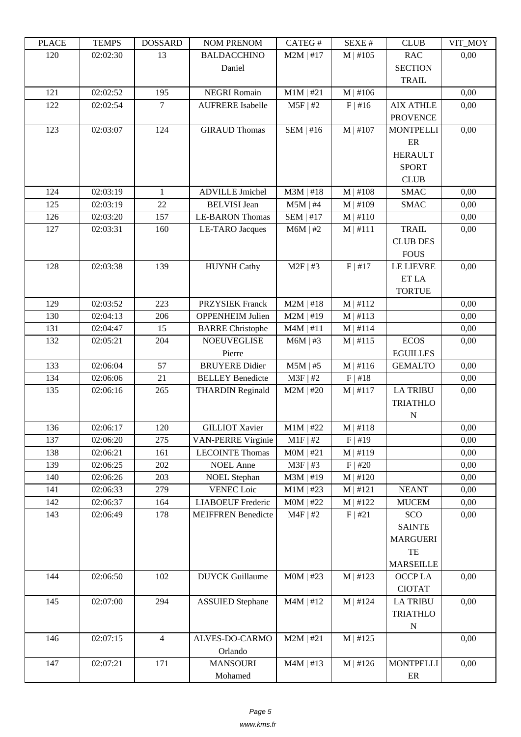| LLAUL | L LIVIII J | <b>UUUUUUU</b> | <b>NUMERIAL NUM</b>                               | <b>CATLOT</b>              | <b>DLAL T</b>               | CLUD             | VII_MUI      |
|-------|------------|----------------|---------------------------------------------------|----------------------------|-----------------------------|------------------|--------------|
| 120   | 02:02:30   | 13             | <b>BALDACCHINO</b>                                | $M2M$   #17                | M   #105                    | <b>RAC</b>       | 0,00         |
|       |            |                | Daniel                                            |                            |                             | <b>SECTION</b>   |              |
|       |            |                |                                                   |                            |                             | <b>TRAIL</b>     |              |
| 121   | 02:02:52   | 195            | <b>NEGRI Romain</b>                               | $M1M$   #21                | M   #106                    |                  | 0,00         |
| 122   | 02:02:54   | $\overline{7}$ | <b>AUFRERE</b> Isabelle                           | $M5F$   #2                 | $F$   #16                   | <b>AIX ATHLE</b> | 0,00         |
|       |            |                |                                                   |                            |                             | <b>PROVENCE</b>  |              |
| 123   | 02:03:07   | 124            | <b>GIRAUD Thomas</b>                              | SEM   #16                  | $M$   #107                  | <b>MONTPELLI</b> | 0,00         |
|       |            |                |                                                   |                            |                             | $\rm ER$         |              |
|       |            |                |                                                   |                            |                             | <b>HERAULT</b>   |              |
|       |            |                |                                                   |                            |                             | <b>SPORT</b>     |              |
|       |            |                |                                                   |                            |                             | <b>CLUB</b>      |              |
| 124   | 02:03:19   | $\mathbf{1}$   | <b>ADVILLE Jmichel</b>                            | $M3M$   #18                | $M$   #108                  | <b>SMAC</b>      | 0,00         |
| 125   | 02:03:19   | 22             | <b>BELVISI</b> Jean                               | $M5M$   #4                 | M   #109                    | <b>SMAC</b>      | 0,00         |
| 126   | 02:03:20   | 157            | <b>LE-BARON Thomas</b>                            | $SEM$   #17                | $M \mid #110$               |                  | 0,00         |
| 127   | 02:03:31   | 160            | <b>LE-TARO</b> Jacques                            | $M6M$   #2                 | $M$   #111                  | <b>TRAIL</b>     | 0,00         |
|       |            |                |                                                   |                            |                             | <b>CLUB DES</b>  |              |
|       |            |                |                                                   |                            |                             | <b>FOUS</b>      |              |
| 128   | 02:03:38   | 139            | <b>HUYNH Cathy</b>                                | $M2F$   #3                 | F   #17                     | <b>LE LIEVRE</b> | 0,00         |
|       |            |                |                                                   |                            |                             | ET LA            |              |
| 129   | 02:03:52   | 223            |                                                   |                            |                             | <b>TORTUE</b>    |              |
| 130   | 02:04:13   | 206            | <b>PRZYSIEK Franck</b><br><b>OPPENHEIM Julien</b> | $M2M$   #18<br>$M2M$   #19 | $M$   #112<br>M   #113      |                  | 0,00<br>0,00 |
| 131   | 02:04:47   | 15             |                                                   | $M4M$   #11                |                             |                  | 0,00         |
| 132   | 02:05:21   | 204            | <b>BARRE Christophe</b><br><b>NOEUVEGLISE</b>     | $M6M$   #3                 | $M$   #114<br>$M \mid #115$ | <b>ECOS</b>      | 0,00         |
|       |            |                | Pierre                                            |                            |                             | <b>EGUILLES</b>  |              |
| 133   | 02:06:04   | 57             | <b>BRUYERE</b> Didier                             | $M5M$   #5                 | M   #116                    | <b>GEMALTO</b>   | 0,00         |
| 134   | 02:06:06   | 21             | <b>BELLEY Benedicte</b>                           | $M3F$   #2                 | F   #18                     |                  | 0,00         |
| 135   | 02:06:16   | 265            | <b>THARDIN Reginald</b>                           | $M2M$   #20                | $M$   #117                  | <b>LA TRIBU</b>  | 0,00         |
|       |            |                |                                                   |                            |                             | <b>TRIATHLO</b>  |              |
|       |            |                |                                                   |                            |                             | ${\bf N}$        |              |
| 136   | 02:06:17   | 120            | <b>GILLIOT Xavier</b>                             | $M1M$   #22                | M   #118                    |                  | 0,00         |
| 137   | 02:06:20   | 275            | <b>VAN-PERRE Virginie</b>                         | $M1F$   #2                 | $F$   #19                   |                  | 0,00         |
| 138   | 02:06:21   | 161            | <b>LECOINTE Thomas</b>                            | $MOM$   #21                | $M \mid #119$               |                  | 0,00         |
| 139   | 02:06:25   | 202            | <b>NOEL</b> Anne                                  | M3F   #3                   | $F$   #20                   |                  | 0,00         |
| 140   | 02:06:26   | 203            | <b>NOEL Stephan</b>                               | $M3M$   #19                | $M$   #120                  |                  | 0,00         |
| 141   | 02:06:33   | 279            | <b>VENEC</b> Loic                                 | $M1M$   #23                | M   #121                    | <b>NEANT</b>     | 0,00         |
| 142   | 02:06:37   | 164            | <b>LIABOEUF Frederic</b>                          | $MOM$   #22                | M   #122                    | <b>MUCEM</b>     | 0,00         |
| 143   | 02:06:49   | 178            | <b>MEIFFREN Benedicte</b>                         | $M4F$   #2                 | F   #21                     | SCO              | 0,00         |
|       |            |                |                                                   |                            |                             | <b>SAINTE</b>    |              |
|       |            |                |                                                   |                            |                             | <b>MARGUERI</b>  |              |
|       |            |                |                                                   |                            |                             | TE               |              |
|       |            |                |                                                   |                            |                             | <b>MARSEILLE</b> |              |
| 144   | 02:06:50   | 102            | <b>DUYCK</b> Guillaume                            | $MOM$   #23                | M   #123                    | OCCP LA          | 0,00         |
|       |            |                |                                                   |                            |                             | <b>CIOTAT</b>    |              |
| 145   | 02:07:00   | 294            | <b>ASSUIED</b> Stephane                           | $M4M$   #12                | M   #124                    | <b>LA TRIBU</b>  | 0,00         |
|       |            |                |                                                   |                            |                             | <b>TRIATHLO</b>  |              |
|       |            |                |                                                   |                            |                             | ${\bf N}$        |              |
| 146   | 02:07:15   | $\overline{4}$ | ALVES-DO-CARMO                                    | $M2M$   #21                | M   #125                    |                  | 0,00         |
|       |            |                | Orlando                                           |                            |                             |                  |              |
| 147   | 02:07:21   | 171            | <b>MANSOURI</b>                                   | $M4M$   #13                | M   #126                    | <b>MONTPELLI</b> | 0,00         |
|       |            |                | Mohamed                                           |                            |                             | ER               |              |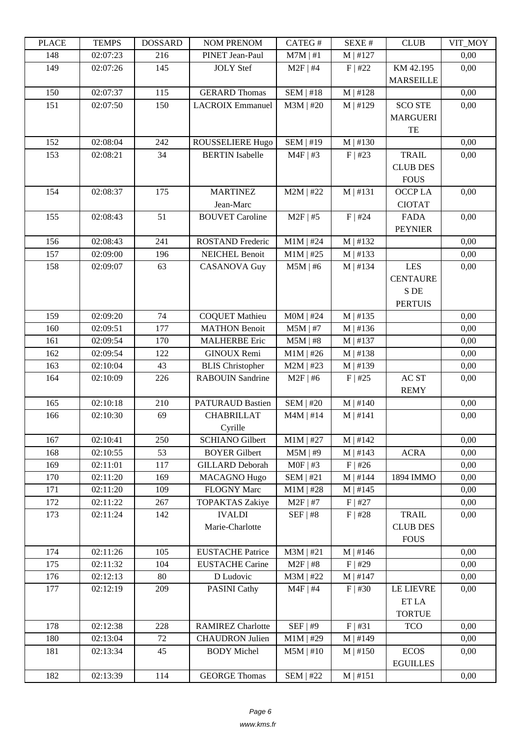| LLAUD | ט IL הו  | <b>UVUNGGULI</b> | <b>INUMER NETVUM</b>     | CATLO T          | DL/AL π    | CLUD             | VII_NIVI |
|-------|----------|------------------|--------------------------|------------------|------------|------------------|----------|
| 148   | 02:07:23 | 216              | PINET Jean-Paul          | $M7M$   #1       | $M$   #127 |                  | 0,00     |
| 149   | 02:07:26 | 145              | <b>JOLY</b> Stef         | $M2F$   #4       | $F$   #22  | KM 42.195        | 0,00     |
|       |          |                  |                          |                  |            | <b>MARSEILLE</b> |          |
| 150   | 02:07:37 | 115              | <b>GERARD Thomas</b>     | $SEM$ #18        | $M$   #128 |                  | 0,00     |
| 151   | 02:07:50 | 150              | <b>LACROIX Emmanuel</b>  | $M3M$   #20      | M   #129   | <b>SCO STE</b>   | 0,00     |
|       |          |                  |                          |                  |            | <b>MARGUERI</b>  |          |
|       |          |                  |                          |                  |            | TE               |          |
| 152   | 02:08:04 | 242              | ROUSSELIERE Hugo         | <b>SEM   #19</b> | $M$   #130 |                  | 0,00     |
| 153   | 02:08:21 | 34               | <b>BERTIN</b> Isabelle   | $M4F$   #3       | $F$   #23  | <b>TRAIL</b>     | 0,00     |
|       |          |                  |                          |                  |            | <b>CLUB DES</b>  |          |
|       |          |                  |                          |                  |            | <b>FOUS</b>      |          |
| 154   | 02:08:37 | 175              | <b>MARTINEZ</b>          | $M2M$   #22      | $M$   #131 | OCCP LA          | 0,00     |
|       |          |                  | Jean-Marc                |                  |            | <b>CIOTAT</b>    |          |
| 155   | 02:08:43 | 51               | <b>BOUVET</b> Caroline   | $M2F$ #5         | $F$   #24  | <b>FADA</b>      | 0,00     |
|       |          |                  |                          |                  |            | <b>PEYNIER</b>   |          |
| 156   | 02:08:43 | 241              | <b>ROSTAND Frederic</b>  | $M1M$   #24      | M   #132   |                  | 0,00     |
| 157   | 02:09:00 | 196              | <b>NEICHEL Benoit</b>    | $M1M$   #25      | M   #133   |                  | 0,00     |
| 158   | 02:09:07 | 63               | <b>CASANOVA Guy</b>      | $M5M$   #6       | $M$   #134 | <b>LES</b>       | 0,00     |
|       |          |                  |                          |                  |            | <b>CENTAURE</b>  |          |
|       |          |                  |                          |                  |            | S DE             |          |
|       |          |                  |                          |                  |            | <b>PERTUIS</b>   |          |
| 159   | 02:09:20 | 74               | <b>COQUET Mathieu</b>    | $MOM$   #24      | M   #135   |                  | 0,00     |
| 160   | 02:09:51 | 177              | <b>MATHON Benoit</b>     | $M5M$   #7       | M   #136   |                  | 0,00     |
| 161   | 02:09:54 | 170              | <b>MALHERBE Eric</b>     | $M5M$   #8       | M   #137   |                  | 0,00     |
| 162   | 02:09:54 | 122              | GINOUX Remi              | $M1M$   #26      | M   #138   |                  | 0,00     |
| 163   | 02:10:04 | 43               | <b>BLIS</b> Christopher  | $M2M$   #23      | M   #139   |                  | 0,00     |
| 164   | 02:10:09 | 226              | <b>RABOUIN Sandrine</b>  | $M2F$   #6       | $F$   #25  | $ACST$           | 0,00     |
|       |          |                  |                          |                  |            | <b>REMY</b>      |          |
| 165   | 02:10:18 | 210              | <b>PATURAUD Bastien</b>  | <b>SEM   #20</b> | $M$   #140 |                  | 0,00     |
| 166   | 02:10:30 | 69               | <b>CHABRILLAT</b>        | $M4M$   #14      | M   #141   |                  | 0,00     |
|       |          |                  | Cyrille                  |                  |            |                  |          |
| 167   | 02:10:41 | 250              | <b>SCHIANO</b> Gilbert   | $M1M$   #27      | $M$   #142 |                  | 0,00     |
| 168   | 02:10:55 | 53               | <b>BOYER Gilbert</b>     | $M5M$   #9       | M   #143   | <b>ACRA</b>      | 0,00     |
| 169   | 02:11:01 | 117              | <b>GILLARD</b> Deborah   | $MOF$   #3       | $F$   #26  |                  | 0,00     |
| 170   | 02:11:20 | 169              | <b>MACAGNO Hugo</b>      | $SEM$   #21      | $M$   #144 | 1894 IMMO        | 0,00     |
| 171   | 02:11:20 | 109              | FLOGNY Marc              | $M1M$   #28      | M   #145   |                  | 0,00     |
| 172   | 02:11:22 | 267              | <b>TOPAKTAS Zakiye</b>   | $M2F$   #7       | $F$   #27  |                  | 0,00     |
| 173   | 02:11:24 | 142              | <b>IVALDI</b>            | SEF   #8         | F   #28    | <b>TRAIL</b>     | 0,00     |
|       |          |                  | Marie-Charlotte          |                  |            | <b>CLUB DES</b>  |          |
|       |          |                  |                          |                  |            | <b>FOUS</b>      |          |
| 174   | 02:11:26 | 105              | <b>EUSTACHE Patrice</b>  | $M3M$   #21      | $M$   #146 |                  | 0,00     |
| 175   | 02:11:32 | 104              | <b>EUSTACHE Carine</b>   | $M2F$   #8       | $F$   #29  |                  | 0,00     |
| 176   | 02:12:13 | 80               | D Ludovic                | $M3M$   #22      | $M$   #147 |                  | 0,00     |
| 177   | 02:12:19 | 209              | <b>PASINI Cathy</b>      | $M4F$   #4       | $F$   #30  | <b>LE LIEVRE</b> | 0,00     |
|       |          |                  |                          |                  |            | ET LA            |          |
|       |          |                  |                          |                  |            | <b>TORTUE</b>    |          |
| 178   | 02:12:38 | 228              | <b>RAMIREZ Charlotte</b> | $SEF$   #9       | F   #31    | <b>TCO</b>       | 0,00     |
| 180   | 02:13:04 | 72               | <b>CHAUDRON Julien</b>   | $M1M$   #29      | M   #149   |                  | 0,00     |
| 181   | 02:13:34 | 45               | <b>BODY</b> Michel       | $M5M$   #10      | M   #150   | <b>ECOS</b>      | 0,00     |
|       |          |                  |                          |                  |            | <b>EGUILLES</b>  |          |
| 182   | 02:13:39 | 114              | <b>GEORGE Thomas</b>     | <b>SEM   #22</b> | M   #151   |                  | 0,00     |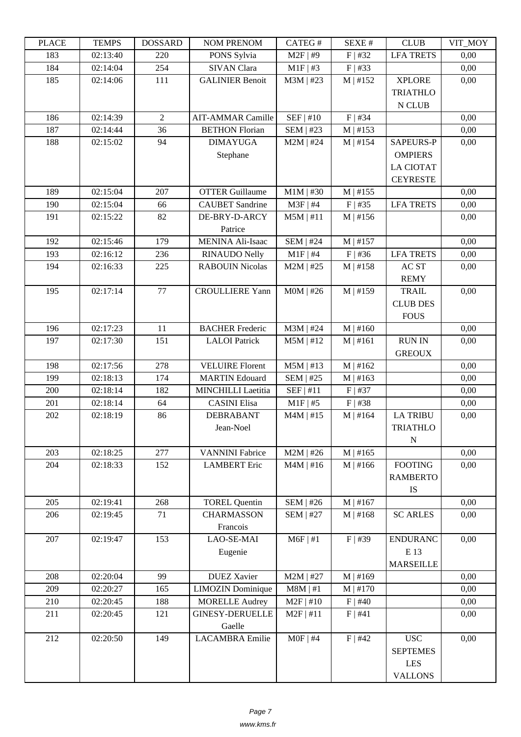| TLAUL      | <u>ר דוגודו</u>      | <b>UUDDAINU</b>      | <b>INUMER NETVUM</b>                              | <b>CATLOT</b>                   | υL/ΛL π              | CLUD             | VII_MUI      |
|------------|----------------------|----------------------|---------------------------------------------------|---------------------------------|----------------------|------------------|--------------|
| 183        | 02:13:40             | 220                  | PONS Sylvia                                       | $M2F$   #9                      | $F$   #32            | <b>LFA TRETS</b> | 0,00         |
| 184        | 02:14:04             | 254                  | <b>SIVAN Clara</b>                                | $M1F$   #3                      | $F$   #33            |                  | 0,00         |
| 185        | 02:14:06             | 111                  | <b>GALINIER Benoit</b>                            | M3M   #23                       | M   #152             | <b>XPLORE</b>    | 0,00         |
|            |                      |                      |                                                   |                                 |                      | <b>TRIATHLO</b>  |              |
|            |                      |                      |                                                   |                                 |                      | N CLUB           |              |
| 186        | 02:14:39             | $\overline{2}$<br>36 | <b>AIT-AMMAR Camille</b><br><b>BETHON Florian</b> | SEF   #10                       | $F$   #34            |                  | 0,00         |
| 187<br>188 | 02:14:44<br>02:15:02 | 94                   | <b>DIMAYUGA</b>                                   | <b>SEM   #23</b><br>$M2M$   #24 | M   #153<br>M   #154 | <b>SAPEURS-P</b> | 0,00<br>0,00 |
|            |                      |                      | Stephane                                          |                                 |                      | <b>OMPIERS</b>   |              |
|            |                      |                      |                                                   |                                 |                      | <b>LA CIOTAT</b> |              |
|            |                      |                      |                                                   |                                 |                      | <b>CEYRESTE</b>  |              |
| 189        | 02:15:04             | 207                  | <b>OTTER Guillaume</b>                            | $M1M$   #30                     | M   #155             |                  | 0,00         |
| 190        | 02:15:04             | 66                   | <b>CAUBET</b> Sandrine                            | $M3F$   #4                      | $F$   #35            | <b>LFA TRETS</b> | 0,00         |
| 191        | 02:15:22             | 82                   | DE-BRY-D-ARCY                                     | $M5M$   #11                     | M   #156             |                  | 0,00         |
|            |                      |                      | Patrice                                           |                                 |                      |                  |              |
| 192        | 02:15:46             | 179                  | <b>MENINA Ali-Isaac</b>                           | <b>SEM   #24</b>                | $M$   #157           |                  | 0,00         |
| 193        | 02:16:12             | 236                  | <b>RINAUDO Nelly</b>                              | $M1F$   #4                      | $F$   #36            | <b>LFA TRETS</b> | 0,00         |
| 194        | 02:16:33             | 225                  | <b>RABOUIN Nicolas</b>                            | $M2M$   #25                     | M   #158             | AC ST            | 0,00         |
|            |                      |                      |                                                   |                                 |                      | <b>REMY</b>      |              |
| 195        | 02:17:14             | 77                   | <b>CROULLIERE Yann</b>                            | $MOM$   #26                     | M   #159             | <b>TRAIL</b>     | 0,00         |
|            |                      |                      |                                                   |                                 |                      | <b>CLUB DES</b>  |              |
|            |                      |                      |                                                   |                                 |                      | <b>FOUS</b>      |              |
| 196        | 02:17:23             | 11                   | <b>BACHER Frederic</b>                            | $M3M$   #24                     | M   #160             |                  | 0,00         |
| 197        | 02:17:30             | 151                  | <b>LALOI</b> Patrick                              | $M5M$   #12                     | M   #161             | <b>RUN IN</b>    | 0,00         |
|            |                      |                      |                                                   |                                 |                      | <b>GREOUX</b>    |              |
| 198        | 02:17:56             | 278                  | <b>VELUIRE Florent</b>                            | $M5M$   #13                     | M   #162             |                  | 0,00         |
| 199        | 02:18:13             | 174                  | <b>MARTIN Edouard</b>                             | <b>SEM   #25</b>                | M   #163             |                  | 0,00         |
| 200        | 02:18:14             | 182                  | <b>MINCHILLI Laetitia</b>                         | SEF   #11                       | $F$   #37            |                  | 0,00         |
| 201        | 02:18:14             | 64                   | <b>CASINI Elisa</b>                               | $M1F$ #5                        | $F$   #38            |                  | 0,00         |
| 202        | 02:18:19             | 86                   | <b>DEBRABANT</b>                                  | $M4M$   #15                     | $M$   #164           | <b>LA TRIBU</b>  | 0,00         |
|            |                      |                      | Jean-Noel                                         |                                 |                      | <b>TRIATHLO</b>  |              |
| 203        |                      |                      |                                                   |                                 |                      | ${\bf N}$        |              |
| 204        | 02:18:25<br>02:18:33 | 277<br>152           | <b>VANNINI Fabrice</b><br><b>LAMBERT</b> Eric     | $M2M$   #26<br>$M4M$   #16      | M   #165<br>M   #166 | <b>FOOTING</b>   | 0,00<br>0,00 |
|            |                      |                      |                                                   |                                 |                      | <b>RAMBERTO</b>  |              |
|            |                      |                      |                                                   |                                 |                      | IS               |              |
| 205        | 02:19:41             | 268                  | <b>TOREL Quentin</b>                              | <b>SEM   #26</b>                | M   #167             |                  | 0,00         |
| 206        | 02:19:45             | 71                   | <b>CHARMASSON</b>                                 | <b>SEM   #27</b>                | M   #168             | <b>SC ARLES</b>  | 0,00         |
|            |                      |                      | Francois                                          |                                 |                      |                  |              |
| 207        | 02:19:47             | 153                  | LAO-SE-MAI                                        | $M6F$   #1                      | $F$   #39            | <b>ENDURANC</b>  | 0,00         |
|            |                      |                      | Eugenie                                           |                                 |                      | E 13             |              |
|            |                      |                      |                                                   |                                 |                      | <b>MARSEILLE</b> |              |
| 208        | 02:20:04             | 99                   | <b>DUEZ</b> Xavier                                | $M2M$   #27                     | M   #169             |                  | 0,00         |
| 209        | 02:20:27             | 165                  | <b>LIMOZIN</b> Dominique                          | $M8M$   #1                      | $M \mid #170$        |                  | 0,00         |
| 210        | 02:20:45             | 188                  | <b>MORELLE Audrey</b>                             | $M2F$   #10                     | $F$   #40            |                  | 0,00         |
| 211        | 02:20:45             | 121                  | <b>GINESY-DERUELLE</b>                            | $M2F$   #11                     | F   #41              |                  | 0,00         |
|            |                      |                      | Gaelle                                            |                                 |                      |                  |              |
| 212        | 02:20:50             | 149                  | <b>LACAMBRA</b> Emilie                            | $MOF$   #4                      | $F$   #42            | <b>USC</b>       | 0,00         |
|            |                      |                      |                                                   |                                 |                      | <b>SEPTEMES</b>  |              |
|            |                      |                      |                                                   |                                 |                      | <b>LES</b>       |              |
|            |                      |                      |                                                   |                                 |                      | <b>VALLONS</b>   |              |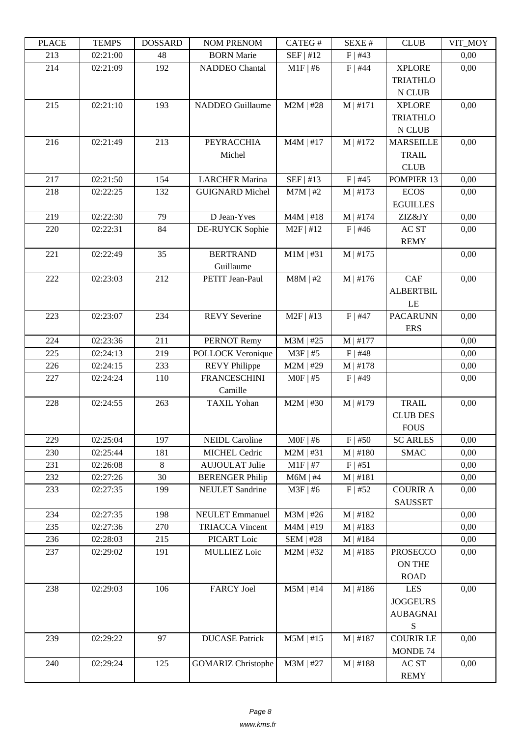| LLAUL | ר נוגודו | <b><i>ANURGOA</i></b> | I VUNI I I NEI VUNI       | CATLO T     | וד כבר בכ  | CLUD                       | YII_MUI |
|-------|----------|-----------------------|---------------------------|-------------|------------|----------------------------|---------|
| 213   | 02:21:00 | 48                    | <b>BORN</b> Marie         | $SEF$   #12 | $F$   #43  |                            | 0,00    |
| 214   | 02:21:09 | 192                   | <b>NADDEO</b> Chantal     | $M1F$   #6  | $F$   #44  | <b>XPLORE</b>              | 0,00    |
|       |          |                       |                           |             |            | <b>TRIATHLO</b>            |         |
|       |          |                       | <b>NADDEO</b> Guillaume   |             |            | N CLUB                     |         |
| 215   | 02:21:10 | 193                   |                           | $M2M$   #28 | M   #171   | <b>XPLORE</b>              | 0,00    |
|       |          |                       |                           |             |            | <b>TRIATHLO</b>            |         |
| 216   | 02:21:49 | 213                   | <b>PEYRACCHIA</b>         | $M4M$   #17 | M   #172   | N CLUB<br><b>MARSEILLE</b> | 0,00    |
|       |          |                       | Michel                    |             |            | <b>TRAIL</b>               |         |
|       |          |                       |                           |             |            | <b>CLUB</b>                |         |
| 217   | 02:21:50 | 154                   | <b>LARCHER Marina</b>     | SEF   #13   | $F$   #45  | POMPIER 13                 | 0,00    |
| 218   | 02:22:25 | 132                   | <b>GUIGNARD Michel</b>    | $M7M$   #2  | M   #173   | <b>ECOS</b>                | 0,00    |
|       |          |                       |                           |             |            | <b>EGUILLES</b>            |         |
| 219   | 02:22:30 | 79                    | D Jean-Yves               | $M4M$   #18 | $M$   #174 | ZIZ&JY                     | 0,00    |
| 220   | 02:22:31 | 84                    | DE-RUYCK Sophie           | $M2F$   #12 | $F$   #46  | AC ST                      | 0,00    |
|       |          |                       |                           |             |            | <b>REMY</b>                |         |
| 221   | 02:22:49 | 35                    | <b>BERTRAND</b>           | $M1M$   #31 | M   #175   |                            | 0,00    |
|       |          |                       | Guillaume                 |             |            |                            |         |
| 222   | 02:23:03 | 212                   | PETIT Jean-Paul           | $M8M$   #2  | $M$   #176 | CAF                        | 0,00    |
|       |          |                       |                           |             |            | <b>ALBERTBIL</b>           |         |
|       |          |                       |                           |             |            | LE                         |         |
| 223   | 02:23:07 | 234                   | <b>REVY Severine</b>      | $M2F$   #13 | $F$   #47  | <b>PACARUNN</b>            | 0,00    |
|       |          |                       |                           |             |            | <b>ERS</b>                 |         |
| 224   | 02:23:36 | 211                   | PERNOT Remy               | $M3M$   #25 | $M$   #177 |                            | 0,00    |
| 225   | 02:24:13 | 219                   | POLLOCK Veronique         | $M3F$   #5  | $F$   #48  |                            | 0,00    |
| 226   | 02:24:15 | 233                   | <b>REVY Philippe</b>      | $M2M$   #29 | M   #178   |                            | 0,00    |
| 227   | 02:24:24 | 110                   | <b>FRANCESCHINI</b>       | $MOF$   #5  | $F$   #49  |                            | 0,00    |
|       |          |                       | Camille                   |             |            |                            |         |
| 228   | 02:24:55 | 263                   | <b>TAXIL Yohan</b>        | $M2M$   #30 | M   #179   | <b>TRAIL</b>               | 0,00    |
|       |          |                       |                           |             |            | <b>CLUB DES</b>            |         |
|       |          |                       |                           |             |            | <b>FOUS</b>                |         |
| 229   | 02:25:04 | 197                   | <b>NEIDL Caroline</b>     | $MOF$   #6  | $F$   #50  | <b>SC ARLES</b>            | 0,00    |
| 230   | 02:25:44 | 181                   | <b>MICHEL Cedric</b>      | $M2M$   #31 | M   #180   | <b>SMAC</b>                | 0,00    |
| 231   | 02:26:08 | 8                     | <b>AUJOULAT Julie</b>     | $M1F$   #7  | F   #51    |                            | 0,00    |
| 232   | 02:27:26 | 30                    | <b>BERENGER Philip</b>    | $M6M$   #4  | M   #181   |                            | 0,00    |
| 233   | 02:27:35 | 199                   | <b>NEULET</b> Sandrine    | $M3F$   #6  | $F$   #52  | <b>COURIR A</b>            | 0,00    |
| 234   | 02:27:35 | 198                   | <b>NEULET</b> Emmanuel    | $M3M$   #26 | M   #182   | <b>SAUSSET</b>             | 0,00    |
| 235   | 02:27:36 | 270                   | <b>TRIACCA Vincent</b>    | $M4M$   #19 | $M$   #183 |                            | 0,00    |
| 236   | 02:28:03 | 215                   | PICART Loic               | $SEM$   #28 | $M$   #184 |                            | 0,00    |
| 237   | 02:29:02 | 191                   | <b>MULLIEZ Loic</b>       | $M2M$   #32 | $M$   #185 | <b>PROSECCO</b>            | 0,00    |
|       |          |                       |                           |             |            | <b>ON THE</b>              |         |
|       |          |                       |                           |             |            | <b>ROAD</b>                |         |
| 238   | 02:29:03 | 106                   | <b>FARCY Joel</b>         | $M5M$   #14 | M   #186   | LES                        | 0,00    |
|       |          |                       |                           |             |            | <b>JOGGEURS</b>            |         |
|       |          |                       |                           |             |            | <b>AUBAGNAI</b>            |         |
|       |          |                       |                           |             |            | ${\bf S}$                  |         |
| 239   | 02:29:22 | 97                    | <b>DUCASE Patrick</b>     | $M5M$   #15 | M   #187   | <b>COURIR LE</b>           | 0,00    |
|       |          |                       |                           |             |            | MONDE 74                   |         |
| 240   | 02:29:24 | 125                   | <b>GOMARIZ Christophe</b> | $M3M$   #27 | M   #188   | AC ST                      | 0,00    |
|       |          |                       |                           |             |            | <b>REMY</b>                |         |